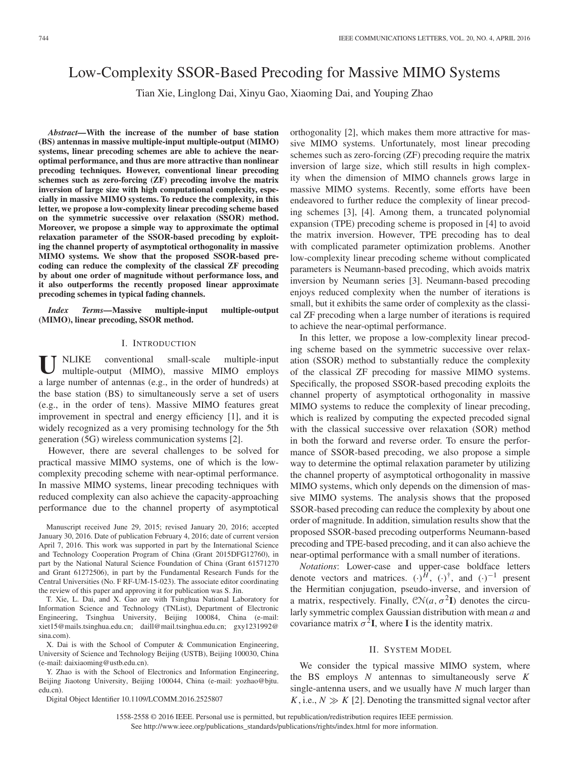# Low-Complexity SSOR-Based Precoding for Massive MIMO Systems

Tian Xie, Linglong Dai, Xinyu Gao, Xiaoming Dai, and Youping Zhao

*Abstract—***With the increase of the number of base station (BS) antennas in massive multiple-input multiple-output (MIMO) systems, linear precoding schemes are able to achieve the nearoptimal performance, and thus are more attractive than nonlinear precoding techniques. However, conventional linear precoding schemes such as zero-forcing (ZF) precoding involve the matrix inversion of large size with high computational complexity, especially in massive MIMO systems. To reduce the complexity, in this letter, we propose a low-complexity linear precoding scheme based on the symmetric successive over relaxation (SSOR) method. Moreover, we propose a simple way to approximate the optimal relaxation parameter of the SSOR-based precoding by exploiting the channel property of asymptotical orthogonality in massive MIMO systems. We show that the proposed SSOR-based precoding can reduce the complexity of the classical ZF precoding by about one order of magnitude without performance loss, and it also outperforms the recently proposed linear approximate precoding schemes in typical fading channels.**

*Index Terms—***Massive multiple-input multiple-output (MIMO), linear precoding, SSOR method.**

## I. INTRODUCTION

**U** NLIKE conventional small-scale multiple-input multiple-output (MIMO), massive MIMO employs a large number of antennas (e.g., in the order of hundreds) at the base station (BS) to simultaneously serve a set of users (e.g., in the order of tens). Massive MIMO features great improvement in spectral and energy efficiency [1], and it is widely recognized as a very promising technology for the 5th generation (5G) wireless communication systems [2].

However, there are several challenges to be solved for practical massive MIMO systems, one of which is the lowcomplexity precoding scheme with near-optimal performance. In massive MIMO systems, linear precoding techniques with reduced complexity can also achieve the capacity-approaching performance due to the channel property of asymptotical

T. Xie, L. Dai, and X. Gao are with Tsinghua National Laboratory for Information Science and Technology (TNList), Department of Electronic Engineering, Tsinghua University, Beijing 100084, China (e-mail: xiet15@mails.tsinghua.edu.cn; daill@mail.tsinghua.edu.cn; gxy1231992@ sina.com).

X. Dai is with the School of Computer & Communication Engineering, University of Science and Technology Beijing (USTB), Beijing 100030, China (e-mail: daixiaoming@ustb.edu.cn).

Y. Zhao is with the School of Electronics and Information Engineering, Beijing Jiaotong University, Beijing 100044, China (e-mail: yozhao@bjtu. edu.cn).

Digital Object Identifier 10.1109/LCOMM.2016.2525807

orthogonality [2], which makes them more attractive for massive MIMO systems. Unfortunately, most linear precoding schemes such as zero-forcing (ZF) precoding require the matrix inversion of large size, which still results in high complexity when the dimension of MIMO channels grows large in massive MIMO systems. Recently, some efforts have been endeavored to further reduce the complexity of linear precoding schemes [3], [4]. Among them, a truncated polynomial expansion (TPE) precoding scheme is proposed in [4] to avoid the matrix inversion. However, TPE precoding has to deal with complicated parameter optimization problems. Another low-complexity linear precoding scheme without complicated parameters is Neumann-based precoding, which avoids matrix inversion by Neumann series [3]. Neumann-based precoding enjoys reduced complexity when the number of iterations is small, but it exhibits the same order of complexity as the classical ZF precoding when a large number of iterations is required to achieve the near-optimal performance.

In this letter, we propose a low-complexity linear precoding scheme based on the symmetric successive over relaxation (SSOR) method to substantially reduce the complexity of the classical ZF precoding for massive MIMO systems. Specifically, the proposed SSOR-based precoding exploits the channel property of asymptotical orthogonality in massive MIMO systems to reduce the complexity of linear precoding, which is realized by computing the expected precoded signal with the classical successive over relaxation (SOR) method in both the forward and reverse order. To ensure the performance of SSOR-based precoding, we also propose a simple way to determine the optimal relaxation parameter by utilizing the channel property of asymptotical orthogonality in massive MIMO systems, which only depends on the dimension of massive MIMO systems. The analysis shows that the proposed SSOR-based precoding can reduce the complexity by about one order of magnitude. In addition, simulation results show that the proposed SSOR-based precoding outperforms Neumann-based precoding and TPE-based precoding, and it can also achieve the near-optimal performance with a small number of iterations.

*Notations*: Lower-case and upper-case boldface letters denote vectors and matrices.  $(\cdot)^H$ ,  $(\cdot)^{\dagger}$ , and  $(\cdot)^{-1}$  present the Hermitian conjugation, pseudo-inverse, and inversion of a matrix, respectively. Finally,  $\mathcal{CN}(a, \sigma^2 I)$  denotes the circularly symmetric complex Gaussian distribution with mean *a* and covariance matrix  $\sigma^2 I$ , where **I** is the identity matrix.

#### II. SYSTEM MODEL

We consider the typical massive MIMO system, where the BS employs *N* antennas to simultaneously serve *K* single-antenna users, and we usually have *N* much larger than *K*, i.e.,  $N \gg K$  [2]. Denoting the transmitted signal vector after

1558-2558 © 2016 IEEE. Personal use is permitted, but republication/redistribution requires IEEE permission. See http://www.ieee.org/publications\_standards/publications/rights/index.html for more information.

Manuscript received June 29, 2015; revised January 20, 2016; accepted January 30, 2016. Date of publication February 4, 2016; date of current version April 7, 2016. This work was supported in part by the International Science and Technology Cooperation Program of China (Grant 2015DFG12760), in part by the National Natural Science Foundation of China (Grant 61571270 and Grant 61272506), in part by the Fundamental Research Funds for the Central Universities (No. F RF-UM-15-023). The associate editor coordinating the review of this paper and approving it for publication was S. Jin.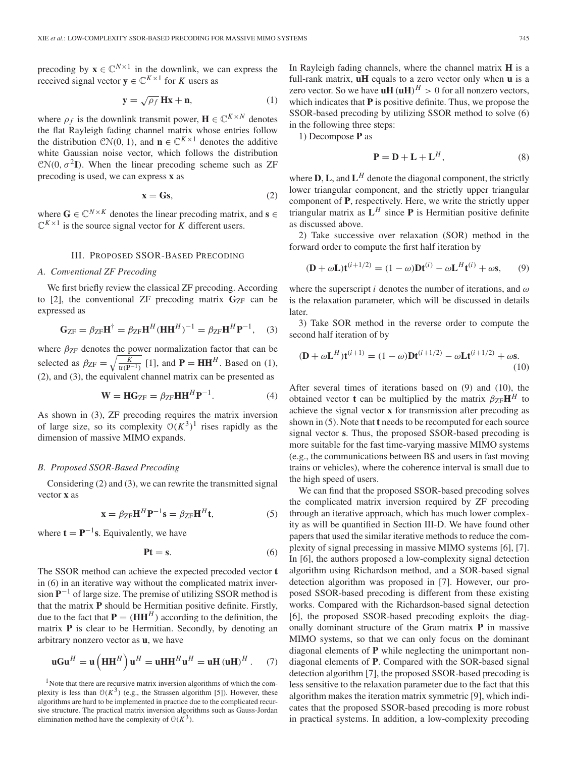precoding by  $\mathbf{x} \in \mathbb{C}^{N \times 1}$  in the downlink, we can express the received signal vector  $y \in \mathbb{C}^{K \times 1}$  for *K* users as

$$
\mathbf{y} = \sqrt{\rho_f} \, \mathbf{Hx} + \mathbf{n},\tag{1}
$$

where  $\rho_f$  is the downlink transmit power,  $\mathbf{H} \in \mathbb{C}^{K \times N}$  denotes the flat Rayleigh fading channel matrix whose entries follow the distribution  $CN(0, 1)$ , and  $\mathbf{n} \in \mathbb{C}^{K \times 1}$  denotes the additive white Gaussian noise vector, which follows the distribution  $CN(0, \sigma^2 I)$ . When the linear precoding scheme such as ZF precoding is used, we can express **x** as

$$
\mathbf{x} = \mathbf{G}\mathbf{s},\tag{2}
$$

where  $\mathbf{G} \in \mathbb{C}^{N \times K}$  denotes the linear precoding matrix, and  $\mathbf{s} \in$  $\mathbb{C}^{K \times 1}$  is the source signal vector for *K* different users.

#### III. PROPOSED SSOR-BASED PRECODING

#### *A. Conventional ZF Precoding*

We first briefly review the classical ZF precoding. According to  $[2]$ , the conventional ZF precoding matrix  $G_{ZF}$  can be expressed as

$$
\mathbf{G}_{\text{ZF}} = \beta_{\text{ZF}} \mathbf{H}^{\dagger} = \beta_{\text{ZF}} \mathbf{H}^H (\mathbf{H} \mathbf{H}^H)^{-1} = \beta_{\text{ZF}} \mathbf{H}^H \mathbf{P}^{-1}, \quad (3)
$$

where  $\beta_{ZF}$  denotes the power normalization factor that can be selected as  $\beta_{\text{ZF}} = \sqrt{\frac{K}{tr(\mathbf{P}^{-1})}}$  [1], and **P** = **HH**<sup>*H*</sup>. Based on (1), (2), and (3), the equivalent channel matrix can be presented as

$$
\mathbf{W} = \mathbf{H} \mathbf{G}_{\text{ZF}} = \beta_{\text{ZF}} \mathbf{H} \mathbf{H}^H \mathbf{P}^{-1}.
$$
 (4)

As shown in (3), ZF precoding requires the matrix inversion of large size, so its complexity  $O(K^3)^1$  rises rapidly as the dimension of massive MIMO expands.

# *B. Proposed SSOR-Based Precoding*

Considering (2) and (3), we can rewrite the transmitted signal vector **x** as

$$
\mathbf{x} = \beta_{\text{ZF}} \mathbf{H}^H \mathbf{P}^{-1} \mathbf{s} = \beta_{\text{ZF}} \mathbf{H}^H \mathbf{t},\tag{5}
$$

where  $\mathbf{t} = \mathbf{P}^{-1}\mathbf{s}$ . Equivalently, we have

$$
Pt = s.\t\t(6)
$$

The SSOR method can achieve the expected precoded vector **t** in (6) in an iterative way without the complicated matrix inversion **P**−<sup>1</sup> of large size. The premise of utilizing SSOR method is that the matrix **P** should be Hermitian positive definite. Firstly, due to the fact that  $P = (HH^H)$  according to the definition, the matrix **P** is clear to be Hermitian. Secondly, by denoting an arbitrary nonzero vector as **u**, we have

$$
\mathbf{uGu}^H = \mathbf{u}\left(\mathbf{H}\mathbf{H}^H\right)\mathbf{u}^H = \mathbf{uH}\mathbf{H}^H\mathbf{u}^H = \mathbf{uH}\left(\mathbf{u}\mathbf{H}\right)^H. \tag{7}
$$

<sup>1</sup>Note that there are recursive matrix inversion algorithms of which the complexity is less than  $O(K^3)$  (e.g., the Strassen algorithm [5]). However, these algorithms are hard to be implemented in practice due to the complicated recursive structure. The practical matrix inversion algorithms such as Gauss-Jordan elimination method have the complexity of  $O(K^3)$ .

In Rayleigh fading channels, where the channel matrix **H** is a full-rank matrix, **uH** equals to a zero vector only when **u** is a zero vector. So we have  $uH(uH)^H > 0$  for all nonzero vectors, which indicates that **P** is positive definite. Thus, we propose the SSOR-based precoding by utilizing SSOR method to solve (6) in the following three steps:

1) Decompose **P** as

$$
\mathbf{P} = \mathbf{D} + \mathbf{L} + \mathbf{L}^H,\tag{8}
$$

where  $D$ ,  $L$ , and  $L^H$  denote the diagonal component, the strictly lower triangular component, and the strictly upper triangular component of **P**, respectively. Here, we write the strictly upper triangular matrix as  $L^H$  since **P** is Hermitian positive definite as discussed above.

2) Take successive over relaxation (SOR) method in the forward order to compute the first half iteration by

$$
(\mathbf{D} + \omega \mathbf{L})\mathbf{t}^{(i+1/2)} = (1 - \omega)\mathbf{D}\mathbf{t}^{(i)} - \omega \mathbf{L}^H \mathbf{t}^{(i)} + \omega \mathbf{s},\qquad(9)
$$

where the superscript *i* denotes the number of iterations, and  $\omega$ is the relaxation parameter, which will be discussed in details later.

3) Take SOR method in the reverse order to compute the second half iteration of by

$$
(\mathbf{D} + \omega \mathbf{L}^{H})\mathbf{t}^{(i+1)} = (1 - \omega)\mathbf{D}\mathbf{t}^{(i+1/2)} - \omega \mathbf{L}\mathbf{t}^{(i+1/2)} + \omega \mathbf{s}.
$$
\n(10)

After several times of iterations based on (9) and (10), the obtained vector **t** can be multiplied by the matrix  $\beta_{ZF}H^H$  to achieve the signal vector **x** for transmission after precoding as shown in (5). Note that **t** needs to be recomputed for each source signal vector **s**. Thus, the proposed SSOR-based precoding is more suitable for the fast time-varying massive MIMO systems (e.g., the communications between BS and users in fast moving trains or vehicles), where the coherence interval is small due to the high speed of users.

We can find that the proposed SSOR-based precoding solves the complicated matrix inversion required by ZF precoding through an iterative approach, which has much lower complexity as will be quantified in Section III-D. We have found other papers that used the similar iterative methods to reduce the complexity of signal precessing in massive MIMO systems [6], [7]. In [6], the authors proposed a low-complexity signal detection algorithm using Richardson method, and a SOR-based signal detection algorithm was proposed in [7]. However, our proposed SSOR-based precoding is different from these existing works. Compared with the Richardson-based signal detection [6], the proposed SSOR-based precoding exploits the diagonally dominant structure of the Gram matrix **P** in massive MIMO systems, so that we can only focus on the dominant diagonal elements of **P** while neglecting the unimportant nondiagonal elements of **P**. Compared with the SOR-based signal detection algorithm [7], the proposed SSOR-based precoding is less sensitive to the relaxation parameter due to the fact that this algorithm makes the iteration matrix symmetric [9], which indicates that the proposed SSOR-based precoding is more robust in practical systems. In addition, a low-complexity precoding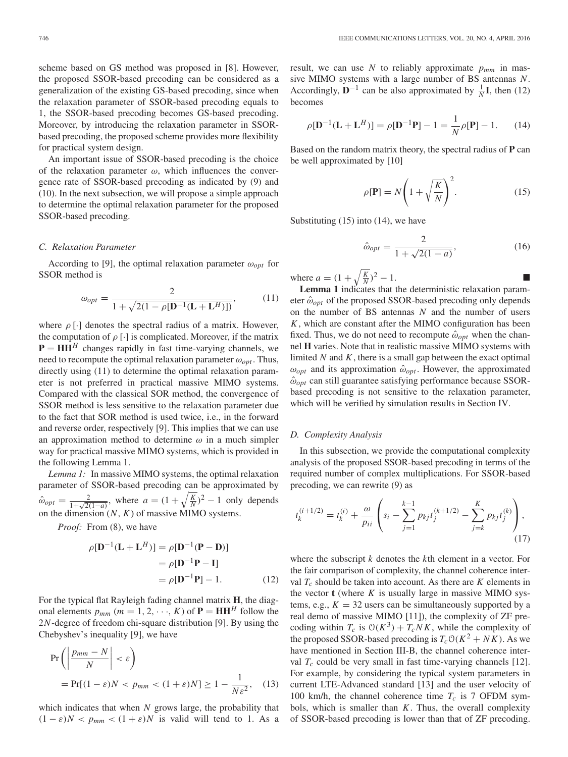scheme based on GS method was proposed in [8]. However, the proposed SSOR-based precoding can be considered as a generalization of the existing GS-based precoding, since when the relaxation parameter of SSOR-based precoding equals to 1, the SSOR-based precoding becomes GS-based precoding. Moreover, by introducing the relaxation parameter in SSORbased precoding, the proposed scheme provides more flexibility for practical system design.

An important issue of SSOR-based precoding is the choice of the relaxation parameter  $\omega$ , which influences the convergence rate of SSOR-based precoding as indicated by (9) and (10). In the next subsection, we will propose a simple approach to determine the optimal relaxation parameter for the proposed SSOR-based precoding.

# *C. Relaxation Parameter*

According to [9], the optimal relaxation parameter  $\omega_{opt}$  for SSOR method is

$$
\omega_{opt} = \frac{2}{1 + \sqrt{2(1 - \rho[\mathbf{D}^{-1}(\mathbf{L} + \mathbf{L}^H)])}},\tag{11}
$$

where  $\rho$  [·] denotes the spectral radius of a matrix. However, the computation of  $\rho[\cdot]$  is complicated. Moreover, if the matrix  $P = HH<sup>H</sup>$  changes rapidly in fast time-varying channels, we need to recompute the optimal relaxation parameter  $\omega_{opt}$ . Thus, directly using (11) to determine the optimal relaxation parameter is not preferred in practical massive MIMO systems. Compared with the classical SOR method, the convergence of SSOR method is less sensitive to the relaxation parameter due to the fact that SOR method is used twice, i.e., in the forward and reverse order, respectively [9]. This implies that we can use an approximation method to determine  $\omega$  in a much simpler way for practical massive MIMO systems, which is provided in the following Lemma 1.

*Lemma 1:* In massive MIMO systems, the optimal relaxation parameter of SSOR-based precoding can be approximated by  $\hat{\omega}_{opt} = \frac{2}{1 + \sqrt{2(1 - a)}}$ , where  $a = (1 + \sqrt{\frac{K}{N}})^2 - 1$  only depends on the dimension  $(N, K)$  of massive MIMO systems.

*Proof:* From (8), we have

$$
\rho[\mathbf{D}^{-1}(\mathbf{L} + \mathbf{L}^{H})] = \rho[\mathbf{D}^{-1}(\mathbf{P} - \mathbf{D})]
$$

$$
= \rho[\mathbf{D}^{-1}\mathbf{P} - \mathbf{I}]
$$

$$
= \rho[\mathbf{D}^{-1}\mathbf{P}] - 1.
$$
 (12)

For the typical flat Rayleigh fading channel matrix **H**, the diagonal elements  $p_{mm}$  ( $m = 1, 2, \dots, K$ ) of  $\mathbf{P} = \mathbf{HH}^H$  follow the 2*N*-degree of freedom chi-square distribution [9]. By using the Chebyshev's inequality [9], we have

$$
\Pr\left(\left|\frac{p_{mm} - N}{N}\right| < \varepsilon\right)
$$
\n
$$
= \Pr[(1 - \varepsilon)N < p_{mm} < (1 + \varepsilon)N] \ge 1 - \frac{1}{N\varepsilon^2},\tag{13}
$$

which indicates that when *N* grows large, the probability that  $(1 - \varepsilon)N < p_{mm} < (1 + \varepsilon)N$  is valid will tend to 1. As a

result, we can use  $N$  to reliably approximate  $p_{mm}$  in massive MIMO systems with a large number of BS antennas *N*. Accordingly,  $\mathbf{D}^{-1}$  can be also approximated by  $\frac{1}{N}\mathbf{I}$ , then (12) becomes

$$
\rho[\mathbf{D}^{-1}(\mathbf{L} + \mathbf{L}^{H})] = \rho[\mathbf{D}^{-1}\mathbf{P}] - 1 = \frac{1}{N}\rho[\mathbf{P}] - 1.
$$
 (14)

Based on the random matrix theory, the spectral radius of **P** can be well approximated by [10]

$$
\rho[\mathbf{P}] = N \left( 1 + \sqrt{\frac{K}{N}} \right)^2.
$$
\n(15)

Substituting  $(15)$  into  $(14)$ , we have

$$
\hat{\omega}_{opt} = \frac{2}{1 + \sqrt{2(1 - a)}},\tag{16}
$$

where  $a = (1 + \sqrt{\frac{K}{N}})^2 - 1$ .

**Lemma 1** indicates that the deterministic relaxation parameter  $\hat{\omega}_{opt}$  of the proposed SSOR-based precoding only depends on the number of BS antennas *N* and the number of users *K*, which are constant after the MIMO configuration has been fixed. Thus, we do not need to recompute  $\hat{\omega}_{opt}$  when the channel **H** varies. Note that in realistic massive MIMO systems with limited *N* and *K*, there is a small gap between the exact optimal  $\omega_{opt}$  and its approximation  $\hat{\omega}_{opt}$ . However, the approximated  $\hat{\omega}_{opt}$  can still guarantee satisfying performance because SSORbased precoding is not sensitive to the relaxation parameter, which will be verified by simulation results in Section IV.

# *D. Complexity Analysis*

In this subsection, we provide the computational complexity analysis of the proposed SSOR-based precoding in terms of the required number of complex multiplications. For SSOR-based precoding, we can rewrite (9) as

$$
t_k^{(i+1/2)} = t_k^{(i)} + \frac{\omega}{p_{ii}} \left( s_i - \sum_{j=1}^{k-1} p_{kj} t_j^{(k+1/2)} - \sum_{j=k}^{K} p_{kj} t_j^{(k)} \right),\tag{17}
$$

where the subscript *k* denotes the *k*th element in a vector. For the fair comparison of complexity, the channel coherence interval  $T_c$  should be taken into account. As there are  $K$  elements in the vector  $t$  (where  $K$  is usually large in massive MIMO systems, e.g.,  $K = 32$  users can be simultaneously supported by a real demo of massive MIMO [11]), the complexity of ZF precoding within  $T_c$  is  $O(K^3) + T_c N K$ , while the complexity of the proposed SSOR-based precoding is  $T_cO(K^2 + NK)$ . As we have mentioned in Section III-B, the channel coherence interval  $T_c$  could be very small in fast time-varying channels [12]. For example, by considering the typical system parameters in current LTE-Advanced standard [13] and the user velocity of 100 km/h, the channel coherence time  $T_c$  is 7 OFDM symbols, which is smaller than *K*. Thus, the overall complexity of SSOR-based precoding is lower than that of ZF precoding.